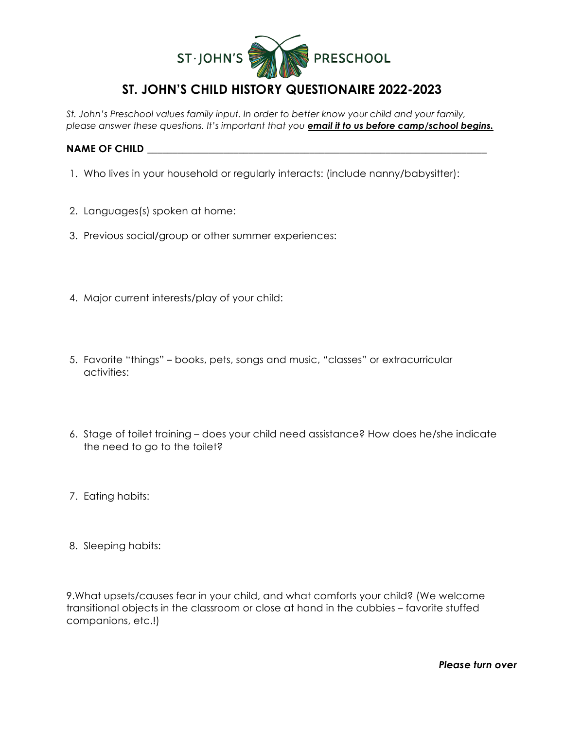

## **ST. JOHN'S CHILD HISTORY QUESTIONAIRE 2022-2023**

*St. John's Preschool values family input. In order to better know your child and your family, please answer these questions. It's important that you email it to us before camp/school begins.* 

## **NAME OF CHILD LETTLE AND READLE AT A LCCC.**

- 1. Who lives in your household or regularly interacts: (include nanny/babysitter):
- 2. Languages(s) spoken at home:
- 3. Previous social/group or other summer experiences:
- 4. Major current interests/play of your child:
- 5. Favorite "things" books, pets, songs and music, "classes" or extracurricular activities:
- 6. Stage of toilet training does your child need assistance? How does he/she indicate the need to go to the toilet?
- 7. Eating habits:
- 8. Sleeping habits:

9.What upsets/causes fear in your child, and what comforts your child? (We welcome transitional objects in the classroom or close at hand in the cubbies – favorite stuffed companions, etc.!)

*Please turn over*